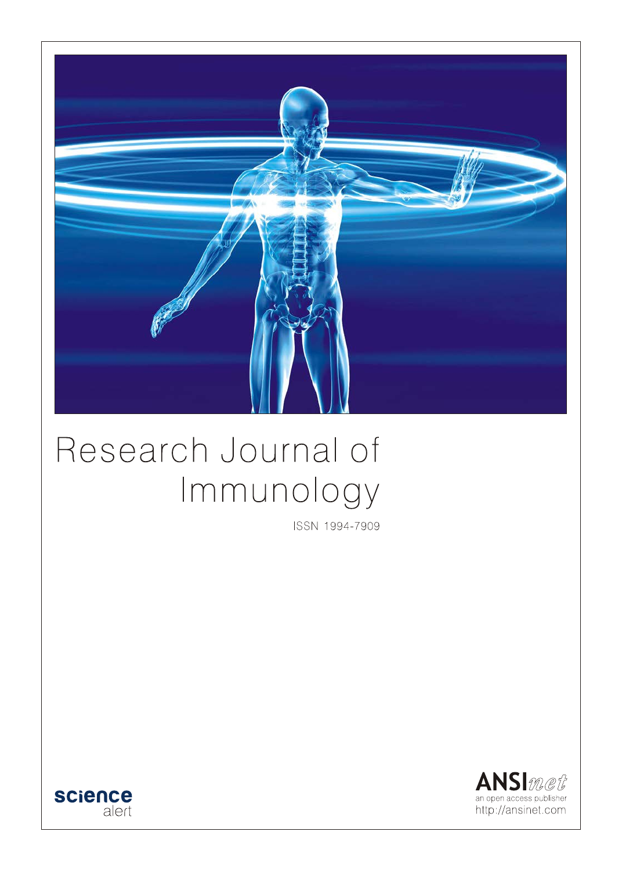

# Research Journal of Immunology

ISSN 1994-7909



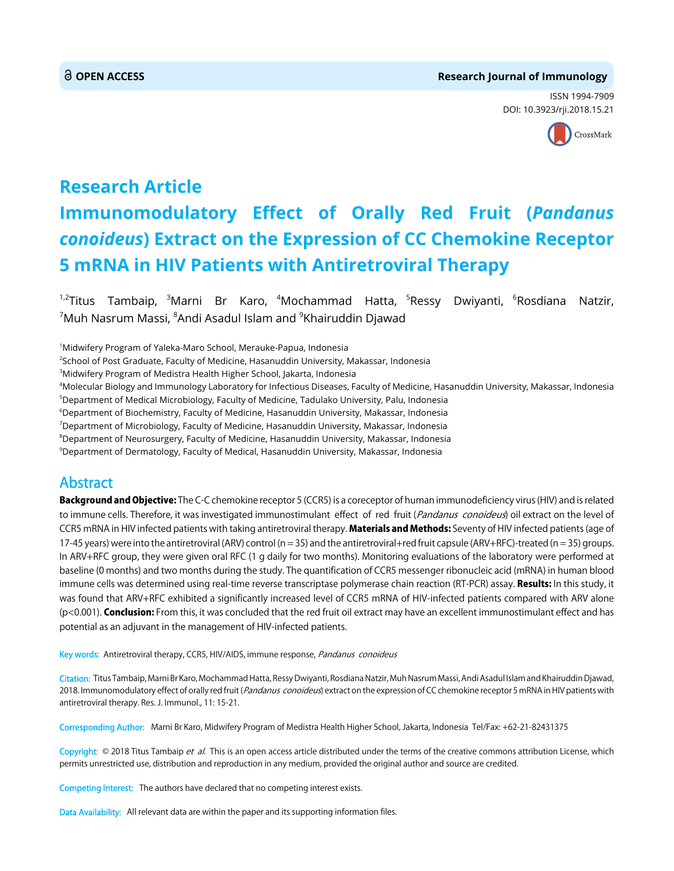### **OPEN ACCESS Research Journal of Immunology**

ISSN 1994-7909 DOI: 10.3923/rji.2018.15.21



# **Research Article Immunomodulatory Effect of Orally Red Fruit (***Pandanus conoideus***) Extract on the Expression of CC Chemokine Receptor 5 mRNA in HIV Patients with Antiretroviral Therapy**

 $1.2$ Titus Tambaip,  $3$ Marni Br Karo,  $4$ Mochammad Hatta,  $5$ Ressy Dwiyanti,  $6$ Rosdiana Natzir,  $^7$ Muh Nasrum Massi,  $^8$ Andi Asadul Islam and  $^9$ Khairuddin Djawad

1 Midwifery Program of Yaleka-Maro School, Merauke-Papua, Indonesia

2 School of Post Graduate, Faculty of Medicine, Hasanuddin University, Makassar, Indonesia

 ${}^{3}$ Midwifery Program of Medistra Health Higher School, Jakarta, Indonesia

4 Molecular Biology and Immunology Laboratory for Infectious Diseases, Faculty of Medicine, Hasanuddin University, Makassar, Indonesia

 $^5$ Department of Medical Microbiology, Faculty of Medicine, Tadulako University, Palu, Indonesia

6 Department of Biochemistry, Faculty of Medicine, Hasanuddin University, Makassar, Indonesia

7 Department of Microbiology, Faculty of Medicine, Hasanuddin University, Makassar, Indonesia

8 Department of Neurosurgery, Faculty of Medicine, Hasanuddin University, Makassar, Indonesia

 $^9$ Department of Dermatology, Faculty of Medical, Hasanuddin University, Makassar, Indonesia

## Abstract

Background and Objective: The C-C chemokine receptor 5 (CCR5) is a coreceptor of human immunodeficiency virus (HIV) and is related to immune cells. Therefore, it was investigated immunostimulant effect of red fruit (Pandanus conoideus) oil extract on the level of CCR5 mRNA in HIV infected patients with taking antiretroviral therapy. Materials and Methods: Seventy of HIV infected patients (age of 17-45 years) were into the antiretroviral (ARV) control (n = 35) and the antiretroviral+red fruit capsule (ARV+RFC)-treated (n = 35) groups. In ARV+RFC group, they were given oral RFC (1 g daily for two months). Monitoring evaluations of the laboratory were performed at baseline (0 months) and two months during the study. The quantification of CCR5 messenger ribonucleic acid (mRNA) in human blood immune cells was determined using real-time reverse transcriptase polymerase chain reaction (RT-PCR) assay. Results: In this study, it was found that ARV+RFC exhibited a significantly increased level of CCR5 mRNA of HIV-infected patients compared with ARV alone (p<0.001). **Conclusion:** From this, it was concluded that the red fruit oil extract may have an excellent immunostimulant effect and has potential as an adjuvant in the management of HIV-infected patients.

Key words: Antiretroviral therapy, CCR5, HIV/AIDS, immune response, Pandanus conoideus

Citation: Titus Tambaip, Marni Br Karo, Mochammad Hatta, Ressy Dwiyanti, Rosdiana Natzir, Muh Nasrum Massi, Andi Asadul Islam and Khairuddin Djawad, 2018. Immunomodulatory effect of orally red fruit (Pandanus conoideus) extract on the expression of CC chemokine receptor 5 mRNA in HIV patients with antiretroviral therapy. Res. J. Immunol., 11: 15-21.

Corresponding Author: Marni Br Karo, Midwifery Program of Medistra Health Higher School, Jakarta, Indonesia Tel/Fax: +62-21-82431375

Copyright: © 2018 Titus Tambaip et al. This is an open access article distributed under the terms of the creative commons attribution License, which permits unrestricted use, distribution and reproduction in any medium, provided the original author and source are credited.

Competing Interest: The authors have declared that no competing interest exists.

Data Availability: All relevant data are within the paper and its supporting information files.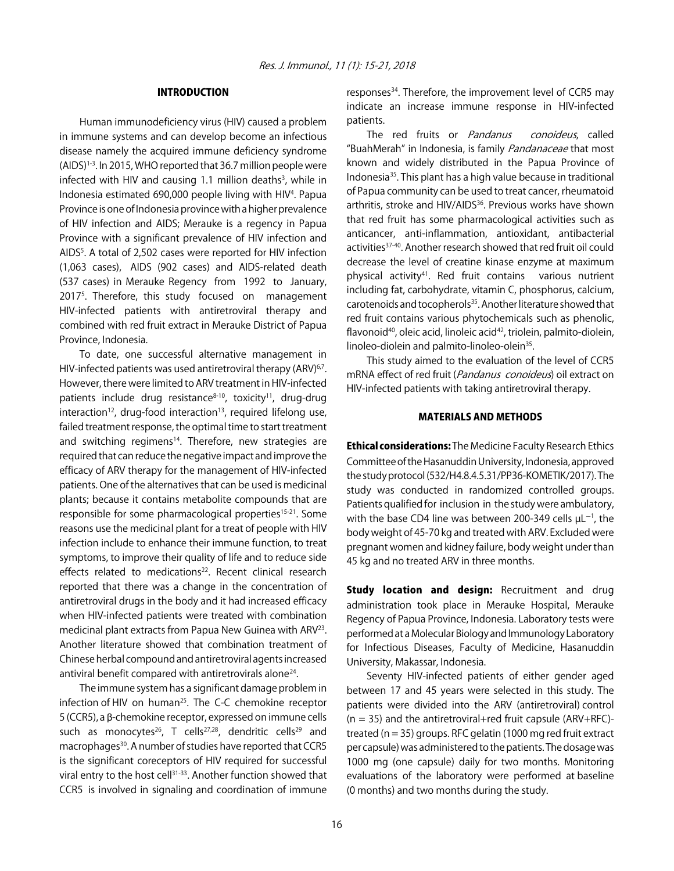#### INTRODUCTION

Human immunodeficiency virus (HIV) caused a problem in immune systems and can develop become an infectious disease namely the acquired immune deficiency syndrome (AIDS)1-3. In 2015, WHO reported that 36.7 million people were infected with HIV and causing 1.1 million deaths<sup>3</sup>, while in Indonesia estimated 690,000 people living with HIV<sup>4</sup>. Papua Province is one of Indonesia province with a higher prevalence of HIV infection and AIDS; Merauke is a regency in Papua Province with a significant prevalence of HIV infection and AIDS<sup>5</sup>. A total of 2,502 cases were reported for HIV infection (1,063 cases), AIDS (902 cases) and AIDS-related death (537 cases) in Merauke Regency from 1992 to January, 20175 . Therefore, this study focused on management HIV-infected patients with antiretroviral therapy and combined with red fruit extract in Merauke District of Papua Province, Indonesia.

To date, one successful alternative management in HIV-infected patients was used antiretroviral therapy (ARV)<sup>6,7</sup>. However, there were limited to ARV treatment in HIV-infected patients include drug resistance $8-10$ , toxicity<sup>11</sup>, drug-drug  $interaction<sup>12</sup>$ , drug-food interaction<sup>13</sup>, required lifelong use, failed treatment response, the optimal time to start treatment and switching regimens<sup>14</sup>. Therefore, new strategies are required that can reduce the negative impact and improve the efficacy of ARV therapy for the management of HIV-infected patients. One of the alternatives that can be used is medicinal plants; because it contains metabolite compounds that are responsible for some pharmacological properties<sup>15-21</sup>. Some reasons use the medicinal plant for a treat of people with HIV infection include to enhance their immune function, to treat symptoms, to improve their quality of life and to reduce side effects related to medications<sup>22</sup>. Recent clinical research reported that there was a change in the concentration of antiretroviral drugs in the body and it had increased efficacy when HIV-infected patients were treated with combination medicinal plant extracts from Papua New Guinea with ARV<sup>23</sup>. Another literature showed that combination treatment of Chinese herbal compound and antiretroviral agents increased antiviral benefit compared with antiretrovirals alone<sup>24</sup>.

The immune system has a significant damage problem in infection of HIV on human<sup>25</sup>. The C-C chemokine receptor  $5$  (CCR5), a  $\beta$ -chemokine receptor, expressed on immune cells such as monocytes<sup>26</sup>, T cells<sup>27,28</sup>, dendritic cells<sup>29</sup> and macrophages<sup>30</sup>. A number of studies have reported that CCR5 is the significant coreceptors of HIV required for successful viral entry to the host cell<sup>31-33</sup>. Another function showed that CCR5 is involved in signaling and coordination of immune

responses<sup>34</sup>. Therefore, the improvement level of CCR5 may indicate an increase immune response in HIV-infected patients.

The red fruits or *Pandanus conoideus*, called "BuahMerah" in Indonesia, is family *Pandanaceae* that most known and widely distributed in the Papua Province of Indonesia35. This plant has a high value because in traditional of Papua community can be used to treat cancer, rheumatoid arthritis, stroke and HIV/AIDS<sup>36</sup>. Previous works have shown that red fruit has some pharmacological activities such as anticancer, anti-inflammation, antioxidant, antibacterial activities<sup>37-40</sup>. Another research showed that red fruit oil could decrease the level of creatine kinase enzyme at maximum physical activity41. Red fruit contains various nutrient including fat, carbohydrate, vitamin C, phosphorus, calcium, carotenoids and tocopherols<sup>35</sup>. Another literature showed that red fruit contains various phytochemicals such as phenolic, flavonoid<sup>40</sup>, oleic acid, linoleic acid<sup>42</sup>, triolein, palmito-diolein, linoleo-diolein and palmito-linoleo-olein<sup>35</sup>.

This study aimed to the evaluation of the level of CCR5 mRNA effect of red fruit (Pandanus conoideus) oil extract on HIV-infected patients with taking antiretroviral therapy.

#### MATERIALS AND METHODS

Ethical considerations: The Medicine Faculty Research Ethics Committee of the Hasanuddin University, Indonesia, approved the study protocol (532/H4.8.4.5.31/PP36-KOMETIK/2017). The study was conducted in randomized controlled groups. Patients qualified for inclusion in the study were ambulatory, with the base CD4 line was between 200-349 cells  $\mu$ L<sup>-1</sup>, the body weight of 45-70 kg and treated with ARV. Excluded were pregnant women and kidney failure, body weight under than 45 kg and no treated ARV in three months.

**Study location and design:** Recruitment and drug administration took place in Merauke Hospital, Merauke Regency of Papua Province, Indonesia. Laboratory tests were performed at a Molecular Biology and Immunology Laboratory for Infectious Diseases, Faculty of Medicine, Hasanuddin University, Makassar, Indonesia.

Seventy HIV-infected patients of either gender aged between 17 and 45 years were selected in this study. The patients were divided into the ARV (antiretroviral) control  $(n = 35)$  and the antiretroviral+red fruit capsule (ARV+RFC)treated (n = 35) groups. RFC gelatin (1000 mg red fruit extract per capsule) was administered to the patients. The dosage was 1000 mg (one capsule) daily for two months. Monitoring evaluations of the laboratory were performed at baseline (0 months) and two months during the study.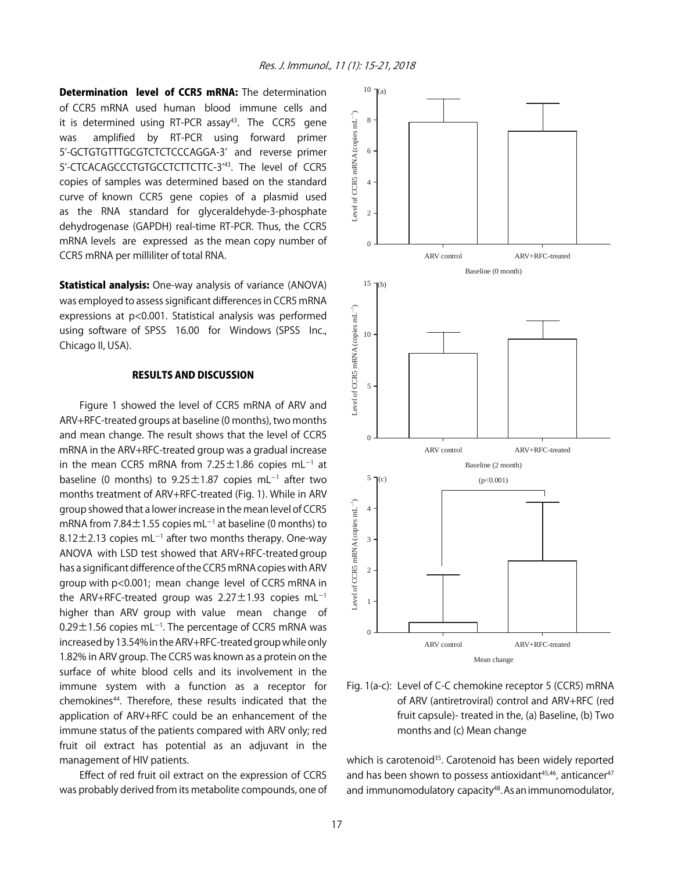**Determination level of CCR5 mRNA:** The determination of CCR5 mRNA used human blood immune cells and it is determined using RT-PCR assay<sup>43</sup>. The CCR5 gene was amplified by RT-PCR using forward primer 5'-GCTGTGTTTGCGTCTCTCCCAGGA-3' and reverse primer 5'-CTCACAGCCCTGTGCCTCTTCTTC-3'43. The level of CCR5 copies of samples was determined based on the standard curve of known CCR5 gene copies of a plasmid used as the RNA standard for glyceraldehyde-3-phosphate dehydrogenase (GAPDH) real-time RT-PCR. Thus, the CCR5 mRNA levels are expressed as the mean copy number of CCR5 mRNA per milliliter of total RNA.

**Statistical analysis:** One-way analysis of variance (ANOVA) was employed to assess significant differences in CCR5 mRNA expressions at p<0.001. Statistical analysis was performed using software of SPSS 16.00 for Windows (SPSS Inc., Chicago II, USA).

#### RESULTS AND DISCUSSION

Figure 1 showed the level of CCR5 mRNA of ARV and ARV+RFC-treated groups at baseline (0 months), two months and mean change. The result shows that the level of CCR5 mRNA in the ARV+RFC-treated group was a gradual increase in the mean CCR5 mRNA from 7.25 $\pm$ 1.86 copies mL $^{-1}$  at baseline (0 months) to  $9.25 \pm 1.87$  copies mL<sup>-1</sup> after two months treatment of ARV+RFC-treated (Fig. 1). While in ARV group showed that a lower increase in the mean level of CCR5 mRNA from 7.84 $\pm$ 1.55 copies mL<sup>-1</sup> at baseline (0 months) to  $8.12 \pm 2.13$  copies mL<sup>-1</sup> after two months therapy. One-way ANOVA with LSD test showed that ARV+RFC-treated group has a significant difference of the CCR5 mRNA copies with ARV group with p<0.001; mean change level of CCR5 mRNA in the ARV+RFC-treated group was  $2.27 \pm 1.93$  copies mL<sup>-1</sup> higher than ARV group with value mean change of  $0.29\pm1.56$  copies mL<sup>-1</sup>. The percentage of CCR5 mRNA was increased by 13.54% in the ARV+RFC-treated group while only 1.82% in ARV group. The CCR5 was known as a protein on the surface of white blood cells and its involvement in the immune system with a function as a receptor for chemokines<sup>44</sup>. Therefore, these results indicated that the application of ARV+RFC could be an enhancement of the immune status of the patients compared with ARV only; red fruit oil extract has potential as an adjuvant in the management of HIV patients.

Effect of red fruit oil extract on the expression of CCR5 was probably derived from its metabolite compounds, one of



Fig. 1(a-c): Level of C-C chemokine receptor 5 (CCR5) mRNA of ARV (antiretroviral) control and ARV+RFC (red fruit capsule)- treated in the, (a) Baseline, (b) Two months and (c) Mean change

which is carotenoid<sup>35</sup>. Carotenoid has been widely reported and has been shown to possess antioxidant $45,46$ , anticancer $47$ and immunomodulatory capacity<sup>48</sup>. As an immunomodulator,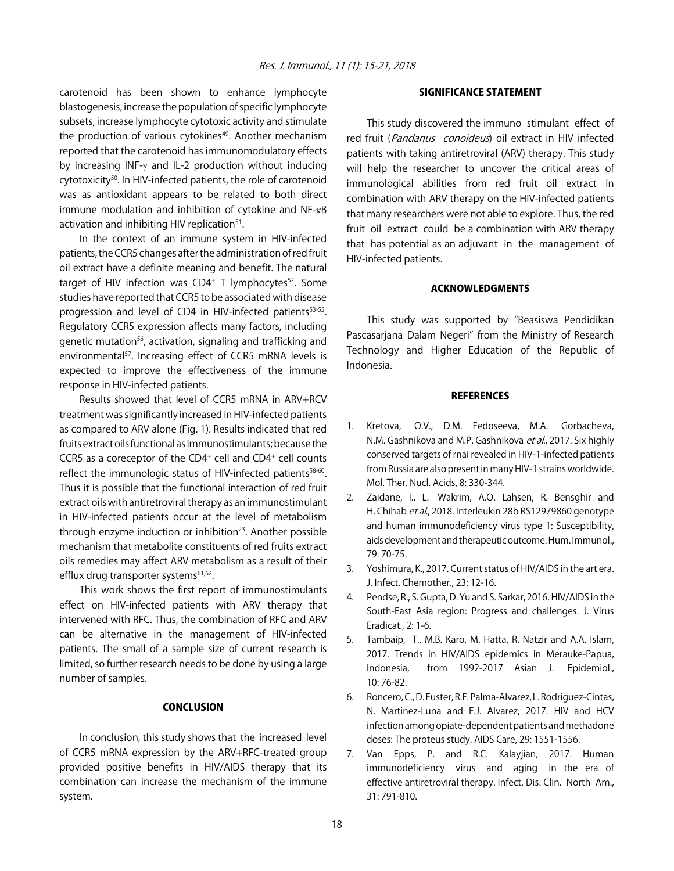carotenoid has been shown to enhance lymphocyte blastogenesis, increase the population of specific lymphocyte subsets, increase lymphocyte cytotoxic activity and stimulate the production of various cytokines<sup>49</sup>. Another mechanism reported that the carotenoid has immunomodulatory effects by increasing INF-γ and IL-2 production without inducing cytotoxicity<sup>50</sup>. In HIV-infected patients, the role of carotenoid was as antioxidant appears to be related to both direct immune modulation and inhibition of cytokine and NF-κB activation and inhibiting HIV replication<sup>51</sup>.

In the context of an immune system in HIV-infected patients, the CCR5 changes after the administration of red fruit oil extract have a definite meaning and benefit. The natural target of HIV infection was  $CD4^+$  T lymphocytes<sup>52</sup>. Some studies have reported that CCR5 to be associated with disease progression and level of CD4 in HIV-infected patients<sup>53-55</sup>. Regulatory CCR5 expression affects many factors, including genetic mutation<sup>56</sup>, activation, signaling and trafficking and environmental<sup>57</sup>. Increasing effect of CCR5 mRNA levels is expected to improve the effectiveness of the immune response in HIV-infected patients.

Results showed that level of CCR5 mRNA in ARV+RCV treatment was significantly increased in HIV-infected patients as compared to ARV alone (Fig. 1). Results indicated that red fruits extract oils functional as immunostimulants; because the CCR5 as a coreceptor of the CD4+ cell and CD4+ cell counts reflect the immunologic status of HIV-infected patients<sup>58-60</sup>. Thus it is possible that the functional interaction of red fruit extract oils with antiretroviral therapy as an immunostimulant in HIV-infected patients occur at the level of metabolism through enzyme induction or inhibition $23$ . Another possible mechanism that metabolite constituents of red fruits extract oils remedies may affect ARV metabolism as a result of their efflux drug transporter systems<sup>61,62</sup>.

This work shows the first report of immunostimulants effect on HIV-infected patients with ARV therapy that intervened with RFC. Thus, the combination of RFC and ARV can be alternative in the management of HIV-infected patients. The small of a sample size of current research is limited, so further research needs to be done by using a large number of samples.

#### **CONCLUSION**

In conclusion, this study shows that the increased level of CCR5 mRNA expression by the ARV+RFC-treated group provided positive benefits in HIV/AIDS therapy that its combination can increase the mechanism of the immune system.

#### SIGNIFICANCE STATEMENT

This study discovered the immuno stimulant effect of red fruit (Pandanus conoideus) oil extract in HIV infected patients with taking antiretroviral (ARV) therapy. This study will help the researcher to uncover the critical areas of immunological abilities from red fruit oil extract in combination with ARV therapy on the HIV-infected patients that many researchers were not able to explore. Thus, the red fruit oil extract could be a combination with ARV therapy that has potential as an adjuvant in the management of HIV-infected patients.

#### ACKNOWLEDGMENTS

This study was supported by "Beasiswa Pendidikan Pascasarjana Dalam Negeri" from the Ministry of Research Technology and Higher Education of the Republic of Indonesia.

#### **REFERENCES**

- 1. Kretova, O.V., D.M. Fedoseeva, M.A. Gorbacheva, N.M. Gashnikova and M.P. Gashnikova et al., 2017. Six highly conserved targets of rnai revealed in HIV-1-infected patients from Russia are also present in many HIV-1 strains worldwide. Mol. Ther. Nucl. Acids, 8: 330-344.
- 2. Zaidane, I., L. Wakrim, A.O. Lahsen, R. Bensghir and H. Chihab et al., 2018. Interleukin 28b RS12979860 genotype and human immunodeficiency virus type 1: Susceptibility, aids development and therapeutic outcome. Hum. Immunol., 79: 70-75.
- 3. Yoshimura, K., 2017. Current status of HIV/AIDS in the art era. J. Infect. Chemother., 23: 12-16.
- 4. Pendse, R., S. Gupta, D. Yu and S. Sarkar, 2016. HIV/AIDS in the South-East Asia region: Progress and challenges. J. Virus Eradicat., 2: 1-6.
- 5. Tambaip, T., M.B. Karo, M. Hatta, R. Natzir and A.A. Islam, 2017. Trends in HIV/AIDS epidemics in Merauke-Papua, Indonesia, from 1992-2017 Asian J. Epidemiol., 10: 76-82.
- 6. Roncero, C., D. Fuster, R.F. Palma-Alvarez, L. Rodriguez-Cintas, N. Martinez-Luna and F.J. Alvarez, 2017. HIV and HCV infection among opiate-dependent patients and methadone doses: The proteus study. AIDS Care, 29: 1551-1556.
- 7. Van Epps, P. and R.C. Kalayjian, 2017. Human immunodeficiency virus and aging in the era of effective antiretroviral therapy. Infect. Dis. Clin. North Am., 31: 791-810.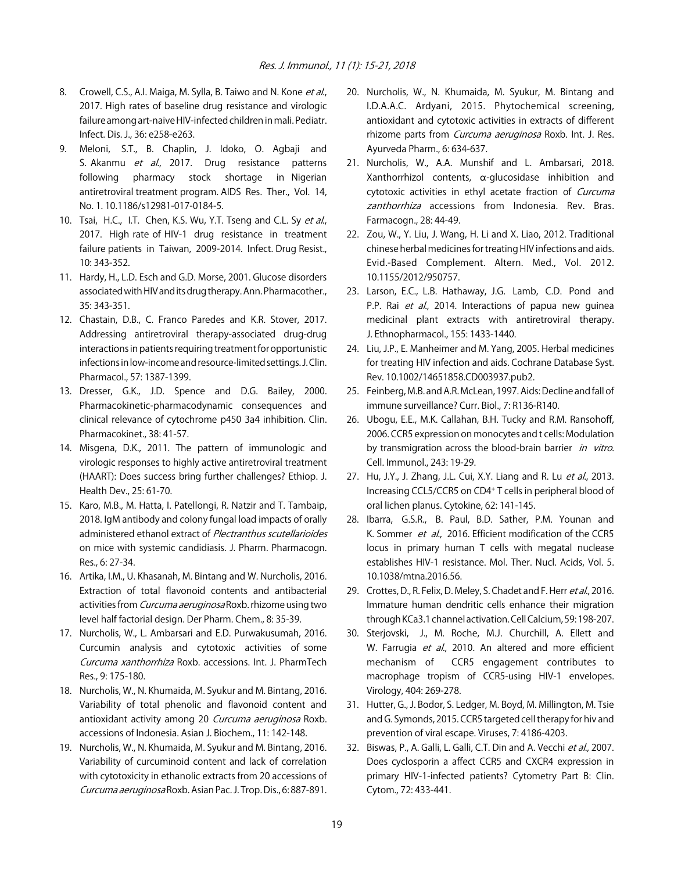- 8. Crowell, C.S., A.I. Maiga, M. Sylla, B. Taiwo and N. Kone et al., 2017. High rates of baseline drug resistance and virologic failure among art-naive HIV-infected children in mali. Pediatr. Infect. Dis. J., 36: e258-e263.
- 9. Meloni, S.T., B. Chaplin, J. Idoko, O. Agbaji and S. Akanmu et al., 2017. Drug resistance patterns following pharmacy stock shortage in Nigerian antiretroviral treatment program. AIDS Res. Ther., Vol. 14, No. 1. 10.1186/s12981-017-0184-5.
- 10. Tsai, H.C., I.T. Chen, K.S. Wu, Y.T. Tseng and C.L. Sy et al., 2017. High rate of HIV-1 drug resistance in treatment failure patients in Taiwan, 2009-2014. Infect. Drug Resist., 10: 343-352.
- 11. Hardy, H., L.D. Esch and G.D. Morse, 2001. Glucose disorders associated with HIV and its drug therapy. Ann. Pharmacother., 35: 343-351.
- 12. Chastain, D.B., C. Franco Paredes and K.R. Stover, 2017. Addressing antiretroviral therapy-associated drug-drug interactions in patients requiring treatment for opportunistic infections in low-income and resource-limited settings. J. Clin. Pharmacol., 57: 1387-1399.
- 13. Dresser, G.K., J.D. Spence and D.G. Bailey, 2000. Pharmacokinetic-pharmacodynamic consequences and clinical relevance of cytochrome p450 3a4 inhibition. Clin. Pharmacokinet., 38: 41-57.
- 14. Misgena, D.K., 2011. The pattern of immunologic and virologic responses to highly active antiretroviral treatment (HAART): Does success bring further challenges? Ethiop. J. Health Dev., 25: 61-70.
- 15. Karo, M.B., M. Hatta, I. Patellongi, R. Natzir and T. Tambaip, 2018. IgM antibody and colony fungal load impacts of orally administered ethanol extract of Plectranthus scutellarioides on mice with systemic candidiasis. J. Pharm. Pharmacogn. Res., 6: 27-34.
- 16. Artika, I.M., U. Khasanah, M. Bintang and W. Nurcholis, 2016. Extraction of total flavonoid contents and antibacterial activities from Curcuma aeruginosa Roxb. rhizome using two level half factorial design. Der Pharm. Chem., 8: 35-39.
- 17. Nurcholis, W., L. Ambarsari and E.D. Purwakusumah, 2016. Curcumin analysis and cytotoxic activities of some Curcuma xanthorrhiza Roxb. accessions. Int. J. PharmTech Res., 9: 175-180.
- 18. Nurcholis, W., N. Khumaida, M. Syukur and M. Bintang, 2016. Variability of total phenolic and flavonoid content and antioxidant activity among 20 Curcuma aeruginosa Roxb. accessions of Indonesia. Asian J. Biochem., 11: 142-148.
- 19. Nurcholis, W., N. Khumaida, M. Syukur and M. Bintang, 2016. Variability of curcuminoid content and lack of correlation with cytotoxicity in ethanolic extracts from 20 accessions of Curcuma aeruginosa Roxb. Asian Pac. J. Trop. Dis., 6: 887-891.
- 20. Nurcholis, W., N. Khumaida, M. Syukur, M. Bintang and I.D.A.A.C. Ardyani, 2015. Phytochemical screening, antioxidant and cytotoxic activities in extracts of different rhizome parts from *Curcuma aeruginosa* Roxb. Int. J. Res. Ayurveda Pharm., 6: 634-637.
- 21. Nurcholis, W., A.A. Munshif and L. Ambarsari, 2018. Xanthorrhizol contents,  $\alpha$ -glucosidase inhibition and cytotoxic activities in ethyl acetate fraction of Curcuma zanthorrhiza accessions from Indonesia. Rev. Bras. Farmacogn., 28: 44-49.
- 22. Zou, W., Y. Liu, J. Wang, H. Li and X. Liao, 2012. Traditional chinese herbal medicines for treating HIV infections and aids. Evid.-Based Complement. Altern. Med., Vol. 2012. 10.1155/2012/950757.
- 23. Larson, E.C., L.B. Hathaway, J.G. Lamb, C.D. Pond and P.P. Rai et al., 2014. Interactions of papua new quinea medicinal plant extracts with antiretroviral therapy. J. Ethnopharmacol., 155: 1433-1440.
- 24. Liu, J.P., E. Manheimer and M. Yang, 2005. Herbal medicines for treating HIV infection and aids. Cochrane Database Syst. Rev. 10.1002/14651858.CD003937.pub2.
- 25. Feinberg, M.B. and A.R. McLean, 1997. Aids: Decline and fall of immune surveillance? Curr. Biol., 7: R136-R140.
- 26. Ubogu, E.E., M.K. Callahan, B.H. Tucky and R.M. Ransohoff, 2006. CCR5 expression on monocytes and t cells: Modulation by transmigration across the blood-brain barrier in vitro. Cell. Immunol., 243: 19-29.
- 27. Hu, J.Y., J. Zhang, J.L. Cui, X.Y. Liang and R. Lu et al., 2013. Increasing CCL5/CCR5 on CD4+ T cells in peripheral blood of oral lichen planus. Cytokine, 62: 141-145.
- 28. Ibarra, G.S.R., B. Paul, B.D. Sather, P.M. Younan and K. Sommer et al., 2016. Efficient modification of the CCR5 locus in primary human T cells with megatal nuclease establishes HIV-1 resistance. Mol. Ther. Nucl. Acids, Vol. 5. 10.1038/mtna.2016.56.
- 29. Crottes, D., R. Felix, D. Meley, S. Chadet and F. Herr et al., 2016. Immature human dendritic cells enhance their migration through KCa3.1 channel activation. Cell Calcium, 59: 198-207.
- 30. Sterjovski, J., M. Roche, M.J. Churchill, A. Ellett and W. Farrugia et al., 2010. An altered and more efficient mechanism of CCR5 engagement contributes to macrophage tropism of CCR5-using HIV-1 envelopes. Virology, 404: 269-278.
- 31. Hutter, G., J. Bodor, S. Ledger, M. Boyd, M. Millington, M. Tsie and G. Symonds, 2015. CCR5 targeted cell therapy for hiv and prevention of viral escape. Viruses, 7: 4186-4203.
- 32. Biswas, P., A. Galli, L. Galli, C.T. Din and A. Vecchi et al., 2007. Does cyclosporin a affect CCR5 and CXCR4 expression in primary HIV-1-infected patients? Cytometry Part B: Clin. Cytom., 72: 433-441.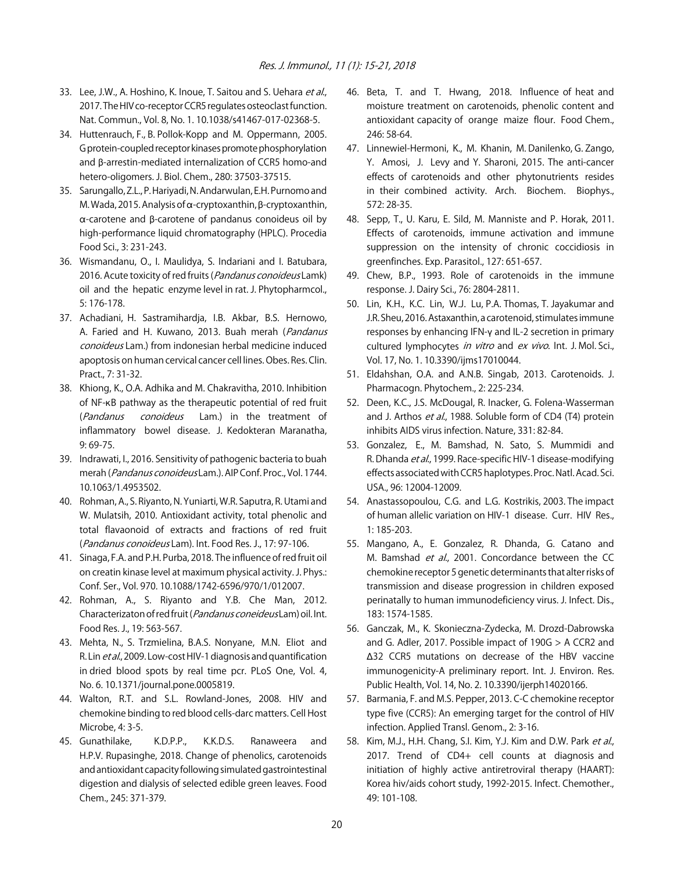- 33. Lee, J.W., A. Hoshino, K. Inoue, T. Saitou and S. Uehara et al., 2017. The HIV co-receptor CCR5 regulates osteoclast function. Nat. Commun., Vol. 8, No. 1. 10.1038/s41467-017-02368-5.
- 34. Huttenrauch, F., B. Pollok-Kopp and M. Oppermann, 2005. G protein-coupled receptor kinases promote phosphorylation and  $\beta$ -arrestin-mediated internalization of CCR5 homo-and hetero-oligomers. J. Biol. Chem., 280: 37503-37515.
- 35. Sarungallo, Z.L., P. Hariyadi, N. Andarwulan, E.H. Purnomo and M. Wada, 2015. Analysis of  $\alpha$ -cryptoxanthin,  $\beta$ -cryptoxanthin,  $\alpha$ -carotene and  $\beta$ -carotene of pandanus conoideus oil by high-performance liquid chromatography (HPLC). Procedia Food Sci., 3: 231-243.
- 36. Wismandanu, O., I. Maulidya, S. Indariani and I. Batubara, 2016. Acute toxicity of red fruits (*Pandanus conoideus* Lamk) oil and the hepatic enzyme level in rat. J. Phytopharmcol., 5: 176-178.
- 37. Achadiani, H. Sastramihardja, I.B. Akbar, B.S. Hernowo, A. Faried and H. Kuwano, 2013. Buah merah (Pandanus conoideus Lam.) from indonesian herbal medicine induced apoptosis on human cervical cancer cell lines. Obes. Res. Clin. Pract., 7: 31-32.
- 38. Khiong, K., O.A. Adhika and M. Chakravitha, 2010. Inhibition of NF-KB pathway as the therapeutic potential of red fruit (Pandanus conoideus Lam.) in the treatment of inflammatory bowel disease. J. Kedokteran Maranatha, 9: 69-75.
- 39. Indrawati, I., 2016. Sensitivity of pathogenic bacteria to buah merah (Pandanus conoideus Lam.). AIP Conf. Proc., Vol. 1744. 10.1063/1.4953502.
- 40. Rohman, A., S. Riyanto, N. Yuniarti, W.R. Saputra, R. Utami and W. Mulatsih, 2010. Antioxidant activity, total phenolic and total flavaonoid of extracts and fractions of red fruit (Pandanus conoideus Lam). Int. Food Res. J., 17: 97-106.
- 41. Sinaga, F.A. and P.H. Purba, 2018. The influence of red fruit oil on creatin kinase level at maximum physical activity. J. Phys.: Conf. Ser., Vol. 970. 10.1088/1742-6596/970/1/012007.
- 42. Rohman, A., S. Riyanto and Y.B. Che Man, 2012. Characterizaton of red fruit (Pandanus coneideus Lam) oil. Int. Food Res. J., 19: 563-567.
- 43. Mehta, N., S. Trzmielina, B.A.S. Nonyane, M.N. Eliot and R. Lin et al., 2009. Low-cost HIV-1 diagnosis and quantification in dried blood spots by real time pcr. PLoS One, Vol. 4, No. 6. 10.1371/journal.pone.0005819.
- 44. Walton, R.T. and S.L. Rowland-Jones, 2008. HIV and chemokine binding to red blood cells-darc matters. Cell Host Microbe, 4: 3-5.
- 45. Gunathilake, K.D.P.P., K.K.D.S. Ranaweera and H.P.V. Rupasinghe, 2018. Change of phenolics, carotenoids and antioxidant capacity following simulated gastrointestinal digestion and dialysis of selected edible green leaves. Food Chem., 245: 371-379.
- 46. Beta, T. and T. Hwang, 2018. Influence of heat and moisture treatment on carotenoids, phenolic content and antioxidant capacity of orange maize flour. Food Chem., 246: 58-64.
- 47. Linnewiel-Hermoni, K., M. Khanin, M. Danilenko, G. Zango, Y. Amosi, J. Levy and Y. Sharoni, 2015. The anti-cancer effects of carotenoids and other phytonutrients resides in their combined activity. Arch. Biochem. Biophys., 572: 28-35.
- 48. Sepp, T., U. Karu, E. Sild, M. Manniste and P. Horak, 2011. Effects of carotenoids, immune activation and immune suppression on the intensity of chronic coccidiosis in greenfinches. Exp. Parasitol., 127: 651-657.
- 49. Chew, B.P., 1993. Role of carotenoids in the immune response. J. Dairy Sci., 76: 2804-2811.
- 50. Lin, K.H., K.C. Lin, W.J. Lu, P.A. Thomas, T. Jayakumar and J.R. Sheu, 2016. Astaxanthin, a carotenoid, stimulates immune responses by enhancing IFN-y and IL-2 secretion in primary cultured lymphocytes in vitro and ex vivo. Int. J. Mol. Sci., Vol. 17, No. 1. 10.3390/ijms17010044.
- 51. Eldahshan, O.A. and A.N.B. Singab, 2013. Carotenoids. J. Pharmacogn. Phytochem., 2: 225-234.
- 52. Deen, K.C., J.S. McDougal, R. Inacker, G. Folena-Wasserman and J. Arthos et al., 1988. Soluble form of CD4 (T4) protein inhibits AIDS virus infection. Nature, 331: 82-84.
- 53. Gonzalez, E., M. Bamshad, N. Sato, S. Mummidi and R. Dhanda et al., 1999. Race-specific HIV-1 disease-modifying effects associated with CCR5 haplotypes. Proc. Natl. Acad. Sci. USA., 96: 12004-12009.
- 54. Anastassopoulou, C.G. and L.G. Kostrikis, 2003. The impact of human allelic variation on HIV-1 disease. Curr. HIV Res., 1: 185-203.
- 55. Mangano, A., E. Gonzalez, R. Dhanda, G. Catano and M. Bamshad et al., 2001. Concordance between the CC chemokine receptor 5 genetic determinants that alter risks of transmission and disease progression in children exposed perinatally to human immunodeficiency virus. J. Infect. Dis., 183: 1574-1585.
- 56. Ganczak, M., K. Skonieczna-Zydecka, M. Drozd-Dabrowska and G. Adler, 2017. Possible impact of 190G > A CCR2 and )32 CCR5 mutations on decrease of the HBV vaccine immunogenicity-A preliminary report. Int. J. Environ. Res. Public Health, Vol. 14, No. 2. 10.3390/ijerph14020166.
- 57. Barmania, F. and M.S. Pepper, 2013. C-C chemokine receptor type five (CCR5): An emerging target for the control of HIV infection. Applied Transl. Genom., 2: 3-16.
- 58. Kim, M.J., H.H. Chang, S.I. Kim, Y.J. Kim and D.W. Park et al., 2017. Trend of CD4+ cell counts at diagnosis and initiation of highly active antiretroviral therapy (HAART): Korea hiv/aids cohort study, 1992-2015. Infect. Chemother., 49: 101-108.